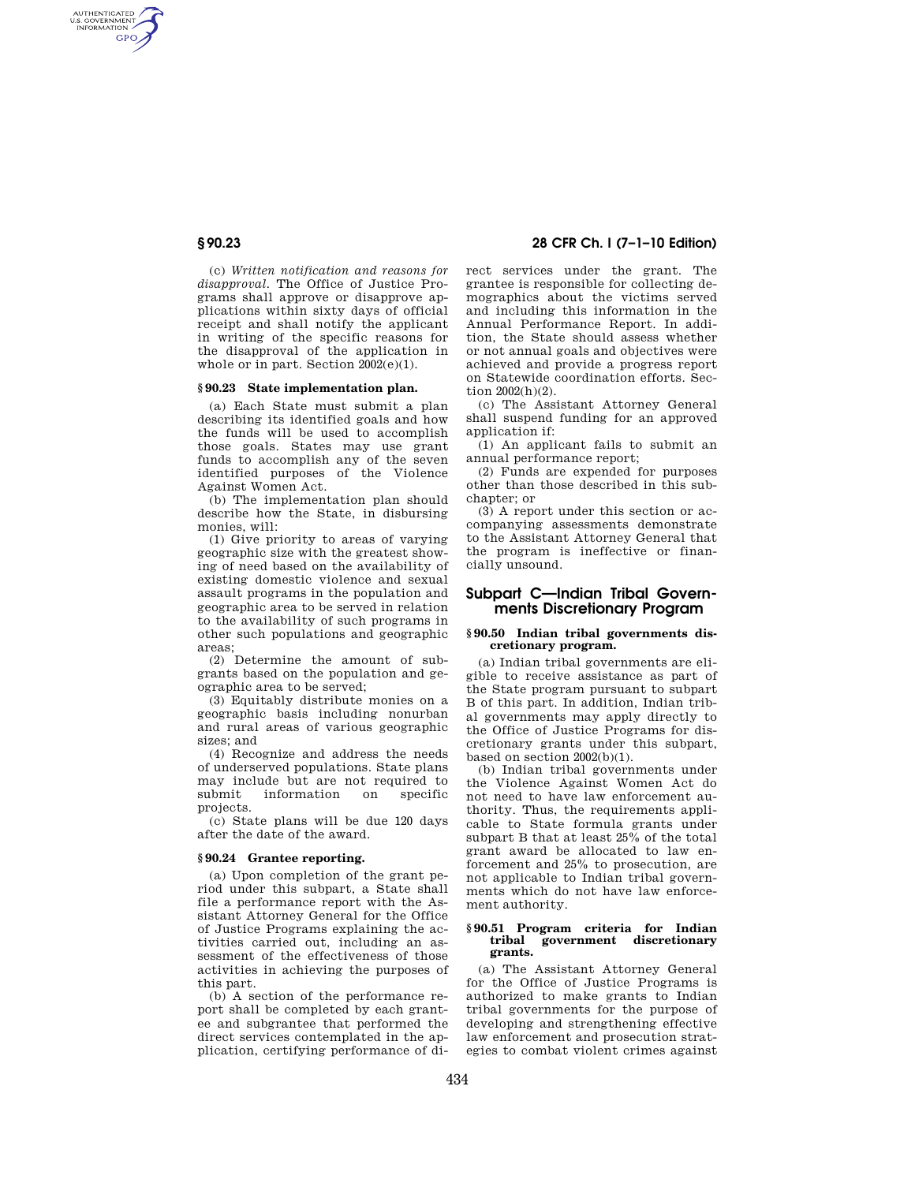AUTHENTICATED<br>U.S. GOVERNMENT<br>INFORMATION **GPO** 

> (c) *Written notification and reasons for disapproval.* The Office of Justice Programs shall approve or disapprove applications within sixty days of official receipt and shall notify the applicant in writing of the specific reasons for the disapproval of the application in whole or in part. Section 2002(e)(1).

#### **§ 90.23 State implementation plan.**

(a) Each State must submit a plan describing its identified goals and how the funds will be used to accomplish those goals. States may use grant funds to accomplish any of the seven identified purposes of the Violence Against Women Act.

(b) The implementation plan should describe how the State, in disbursing monies, will:

(1) Give priority to areas of varying geographic size with the greatest showing of need based on the availability of existing domestic violence and sexual assault programs in the population and geographic area to be served in relation to the availability of such programs in other such populations and geographic areas;

(2) Determine the amount of subgrants based on the population and geographic area to be served;

(3) Equitably distribute monies on a geographic basis including nonurban and rural areas of various geographic sizes; and

(4) Recognize and address the needs of underserved populations. State plans may include but are not required to submit information on specific projects.

(c) State plans will be due 120 days after the date of the award.

#### **§ 90.24 Grantee reporting.**

(a) Upon completion of the grant period under this subpart, a State shall file a performance report with the Assistant Attorney General for the Office of Justice Programs explaining the activities carried out, including an assessment of the effectiveness of those activities in achieving the purposes of this part.

(b) A section of the performance report shall be completed by each grantee and subgrantee that performed the direct services contemplated in the application, certifying performance of di-

# **§ 90.23 28 CFR Ch. I (7–1–10 Edition)**

rect services under the grant. The grantee is responsible for collecting demographics about the victims served and including this information in the Annual Performance Report. In addition, the State should assess whether or not annual goals and objectives were achieved and provide a progress report on Statewide coordination efforts. Section 2002(h)(2).

(c) The Assistant Attorney General shall suspend funding for an approved application if:

(1) An applicant fails to submit an annual performance report;

(2) Funds are expended for purposes other than those described in this subchapter; or

(3) A report under this section or accompanying assessments demonstrate to the Assistant Attorney General that the program is ineffective or financially unsound.

# **Subpart C—Indian Tribal Governments Discretionary Program**

## **§ 90.50 Indian tribal governments discretionary program.**

(a) Indian tribal governments are eligible to receive assistance as part of the State program pursuant to subpart B of this part. In addition, Indian tribal governments may apply directly to the Office of Justice Programs for discretionary grants under this subpart, based on section  $2002(b)(1)$ .

(b) Indian tribal governments under the Violence Against Women Act do not need to have law enforcement authority. Thus, the requirements applicable to State formula grants under subpart B that at least 25% of the total grant award be allocated to law enforcement and 25% to prosecution, are not applicable to Indian tribal governments which do not have law enforcement authority.

#### **§ 90.51 Program criteria for Indian tribal government discretionary grants.**

(a) The Assistant Attorney General for the Office of Justice Programs is authorized to make grants to Indian tribal governments for the purpose of developing and strengthening effective law enforcement and prosecution strategies to combat violent crimes against